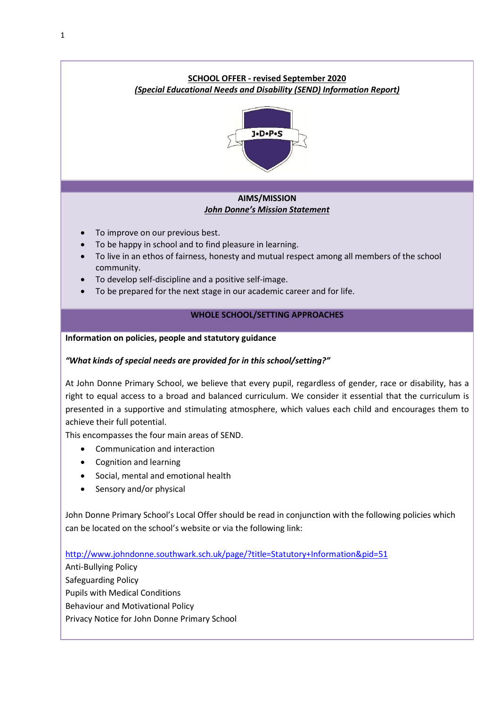

- Cognition and learning
- Social, mental and emotional health
- Sensory and/or physical

John Donne Primary School's Local Offer should be read in conjunction with the following policies which can be located on the school's website or via the following link:

http://www.johndonne.southwark.sch.uk/page/?title=Statutory+Information&pid=51

Anti-Bullying Policy Safeguarding Policy Pupils with Medical Conditions Behaviour and Motivational Policy

Privacy Notice for John Donne Primary School

1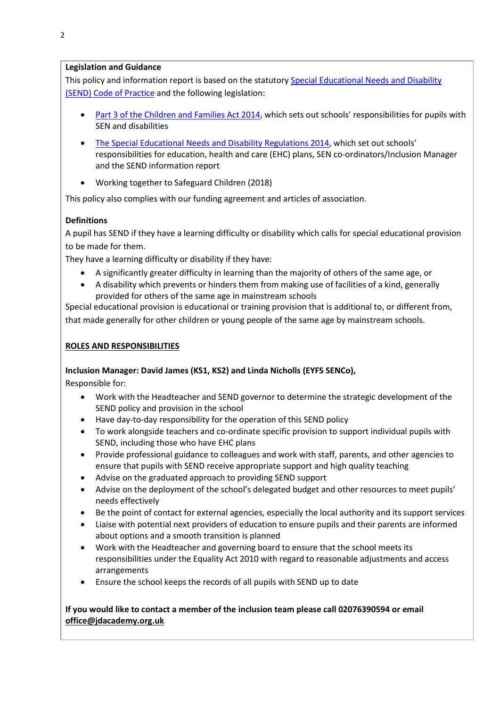### Legislation and Guidance

This policy and information report is based on the statutory Special Educational Needs and Disability (SEND) Code of Practice and the following legislation:

- Part 3 of the Children and Families Act 2014, which sets out schools' responsibilities for pupils with SEN and disabilities
- The Special Educational Needs and Disability Regulations 2014, which set out schools' responsibilities for education, health and care (EHC) plans, SEN co-ordinators/Inclusion Manager and the SEND information report
- Working together to Safeguard Children (2018)

This policy also complies with our funding agreement and articles of association.

# **Definitions**

A pupil has SEND if they have a learning difficulty or disability which calls for special educational provision to be made for them.

They have a learning difficulty or disability if they have:

- A significantly greater difficulty in learning than the majority of others of the same age, or
- A disability which prevents or hinders them from making use of facilities of a kind, generally provided for others of the same age in mainstream schools

Special educational provision is educational or training provision that is additional to, or different from, that made generally for other children or young people of the same age by mainstream schools.

### ROLES AND RESPONSIBILITIES

## Inclusion Manager: David James (KS1, KS2) and Linda Nicholls (EYFS SENCo),

Responsible for:

- Work with the Headteacher and SEND governor to determine the strategic development of the SEND policy and provision in the school
- Have day-to-day responsibility for the operation of this SEND policy
- To work alongside teachers and co-ordinate specific provision to support individual pupils with SEND, including those who have EHC plans
- Provide professional guidance to colleagues and work with staff, parents, and other agencies to ensure that pupils with SEND receive appropriate support and high quality teaching
- Advise on the graduated approach to providing SEND support
- Advise on the deployment of the school's delegated budget and other resources to meet pupils' needs effectively
- Be the point of contact for external agencies, especially the local authority and its support services
- Liaise with potential next providers of education to ensure pupils and their parents are informed about options and a smooth transition is planned
- Work with the Headteacher and governing board to ensure that the school meets its responsibilities under the Equality Act 2010 with regard to reasonable adjustments and access arrangements
- Ensure the school keeps the records of all pupils with SEND up to date

## If you would like to contact a member of the inclusion team please call 02076390594 or email office@jdacademy.org.uk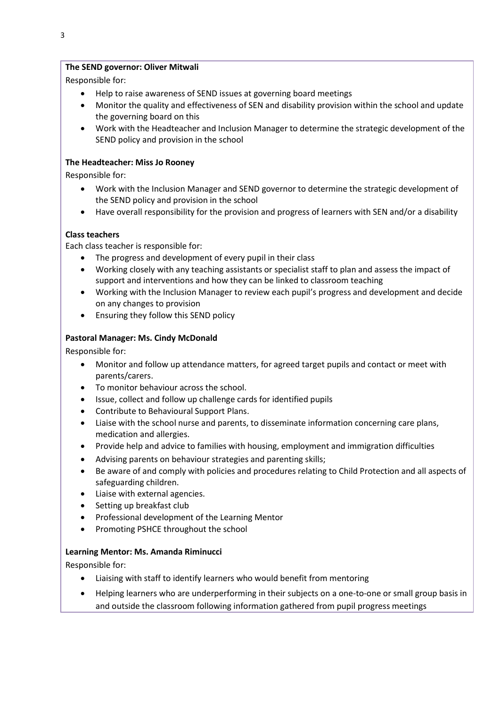### The SEND governor: Oliver Mitwali

Responsible for:

- Help to raise awareness of SEND issues at governing board meetings
- Monitor the quality and effectiveness of SEN and disability provision within the school and update the governing board on this
- Work with the Headteacher and Inclusion Manager to determine the strategic development of the SEND policy and provision in the school

### The Headteacher: Miss Jo Rooney

Responsible for:

- Work with the Inclusion Manager and SEND governor to determine the strategic development of the SEND policy and provision in the school
- Have overall responsibility for the provision and progress of learners with SEN and/or a disability

### Class teachers

Each class teacher is responsible for:

- The progress and development of every pupil in their class
- Working closely with any teaching assistants or specialist staff to plan and assess the impact of support and interventions and how they can be linked to classroom teaching
- Working with the Inclusion Manager to review each pupil's progress and development and decide on any changes to provision
- Ensuring they follow this SEND policy

### Pastoral Manager: Ms. Cindy McDonald

Responsible for:

- Monitor and follow up attendance matters, for agreed target pupils and contact or meet with parents/carers.
- To monitor behaviour across the school.
- Issue, collect and follow up challenge cards for identified pupils
- Contribute to Behavioural Support Plans.
- Liaise with the school nurse and parents, to disseminate information concerning care plans, medication and allergies.
- Provide help and advice to families with housing, employment and immigration difficulties
- Advising parents on behaviour strategies and parenting skills;
- Be aware of and comply with policies and procedures relating to Child Protection and all aspects of safeguarding children.
- Liaise with external agencies.
- Setting up breakfast club
- Professional development of the Learning Mentor
- Promoting PSHCE throughout the school

#### Learning Mentor: Ms. Amanda Riminucci

Responsible for:

- Liaising with staff to identify learners who would benefit from mentoring
- Helping learners who are underperforming in their subjects on a one-to-one or small group basis in and outside the classroom following information gathered from pupil progress meetings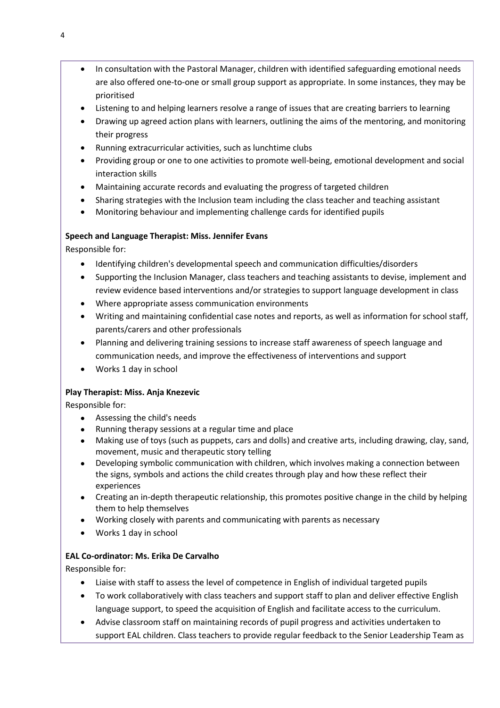- In consultation with the Pastoral Manager, children with identified safeguarding emotional needs are also offered one-to-one or small group support as appropriate. In some instances, they may be prioritised
- Listening to and helping learners resolve a range of issues that are creating barriers to learning
- Drawing up agreed action plans with learners, outlining the aims of the mentoring, and monitoring their progress
- Running extracurricular activities, such as lunchtime clubs
- Providing group or one to one activities to promote well-being, emotional development and social interaction skills
- Maintaining accurate records and evaluating the progress of targeted children
- Sharing strategies with the Inclusion team including the class teacher and teaching assistant
- Monitoring behaviour and implementing challenge cards for identified pupils

# Speech and Language Therapist: Miss. Jennifer Evans

Responsible for:

- Identifying children's developmental speech and communication difficulties/disorders
- Supporting the Inclusion Manager, class teachers and teaching assistants to devise, implement and review evidence based interventions and/or strategies to support language development in class
- Where appropriate assess communication environments
- Writing and maintaining confidential case notes and reports, as well as information for school staff, parents/carers and other professionals
- Planning and delivering training sessions to increase staff awareness of speech language and communication needs, and improve the effectiveness of interventions and support
- Works 1 day in school

# Play Therapist: Miss. Anja Knezevic

Responsible for:

- Assessing the child's needs
- Running therapy sessions at a regular time and place
- Making use of toys (such as puppets, cars and dolls) and creative arts, including drawing, clay, sand, movement, music and therapeutic story telling
- Developing symbolic communication with children, which involves making a connection between the signs, symbols and actions the child creates through play and how these reflect their experiences
- Creating an in-depth therapeutic relationship, this promotes positive change in the child by helping them to help themselves
- Working closely with parents and communicating with parents as necessary
- Works 1 day in school

# EAL Co-ordinator: Ms. Erika De Carvalho

Responsible for:

- Liaise with staff to assess the level of competence in English of individual targeted pupils
- To work collaboratively with class teachers and support staff to plan and deliver effective English language support, to speed the acquisition of English and facilitate access to the curriculum.
- Advise classroom staff on maintaining records of pupil progress and activities undertaken to support EAL children. Class teachers to provide regular feedback to the Senior Leadership Team as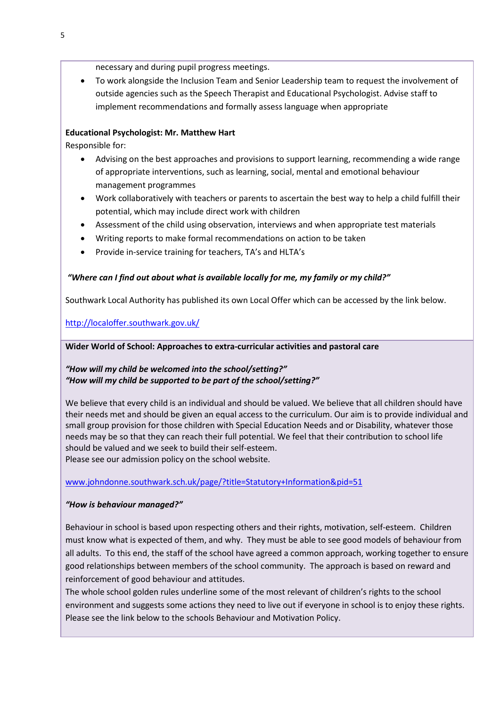necessary and during pupil progress meetings.

 To work alongside the Inclusion Team and Senior Leadership team to request the involvement of outside agencies such as the Speech Therapist and Educational Psychologist. Advise staff to implement recommendations and formally assess language when appropriate

## Educational Psychologist: Mr. Matthew Hart

Responsible for:

- Advising on the best approaches and provisions to support learning, recommending a wide range of appropriate interventions, such as learning, social, mental and emotional behaviour management programmes
- Work collaboratively with teachers or parents to ascertain the best way to help a child fulfill their potential, which may include direct work with children
- Assessment of the child using observation, interviews and when appropriate test materials
- Writing reports to make formal recommendations on action to be taken
- Provide in-service training for teachers, TA's and HLTA's

# "Where can I find out about what is available locally for me, my family or my child?"

Southwark Local Authority has published its own Local Offer which can be accessed by the link below.

http://localoffer.southwark.gov.uk/

### Wider World of School: Approaches to extra-curricular activities and pastoral care

# "How will my child be welcomed into the school/setting?" "How will my child be supported to be part of the school/setting?"

We believe that every child is an individual and should be valued. We believe that all children should have their needs met and should be given an equal access to the curriculum. Our aim is to provide individual and small group provision for those children with Special Education Needs and or Disability, whatever those needs may be so that they can reach their full potential. We feel that their contribution to school life should be valued and we seek to build their self-esteem. Please see our admission policy on the school website.

www.johndonne.southwark.sch.uk/page/?title=Statutory+Information&pid=51

# "How is behaviour managed?"

Behaviour in school is based upon respecting others and their rights, motivation, self-esteem. Children must know what is expected of them, and why. They must be able to see good models of behaviour from all adults. To this end, the staff of the school have agreed a common approach, working together to ensure good relationships between members of the school community. The approach is based on reward and reinforcement of good behaviour and attitudes.

The whole school golden rules underline some of the most relevant of children's rights to the school environment and suggests some actions they need to live out if everyone in school is to enjoy these rights. Please see the link below to the schools Behaviour and Motivation Policy.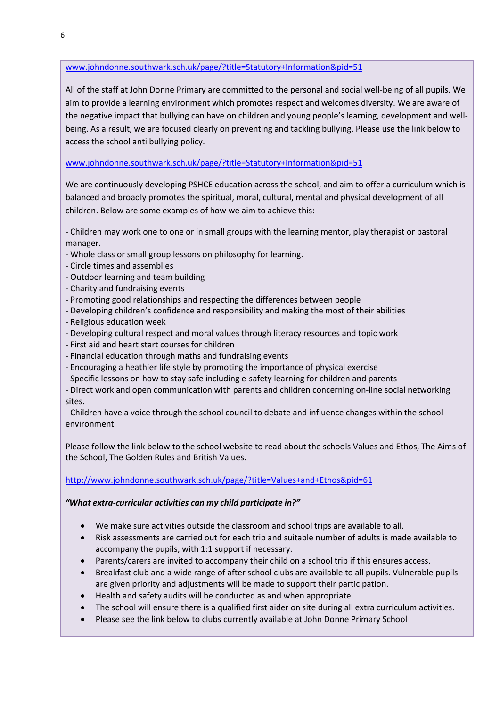## www.johndonne.southwark.sch.uk/page/?title=Statutory+Information&pid=51

All of the staff at John Donne Primary are committed to the personal and social well-being of all pupils. We aim to provide a learning environment which promotes respect and welcomes diversity. We are aware of the negative impact that bullying can have on children and young people's learning, development and wellbeing. As a result, we are focused clearly on preventing and tackling bullying. Please use the link below to access the school anti bullying policy.

### www.johndonne.southwark.sch.uk/page/?title=Statutory+Information&pid=51

We are continuously developing PSHCE education across the school, and aim to offer a curriculum which is balanced and broadly promotes the spiritual, moral, cultural, mental and physical development of all children. Below are some examples of how we aim to achieve this:

- Children may work one to one or in small groups with the learning mentor, play therapist or pastoral manager.

- Whole class or small group lessons on philosophy for learning.
- Circle times and assemblies
- Outdoor learning and team building
- Charity and fundraising events
- Promoting good relationships and respecting the differences between people
- Developing children's confidence and responsibility and making the most of their abilities
- Religious education week
- Developing cultural respect and moral values through literacy resources and topic work
- First aid and heart start courses for children
- Financial education through maths and fundraising events
- Encouraging a heathier life style by promoting the importance of physical exercise
- Specific lessons on how to stay safe including e-safety learning for children and parents

- Direct work and open communication with parents and children concerning on-line social networking sites.

- Children have a voice through the school council to debate and influence changes within the school environment

Please follow the link below to the school website to read about the schools Values and Ethos, The Aims of the School, The Golden Rules and British Values.

#### http://www.johndonne.southwark.sch.uk/page/?title=Values+and+Ethos&pid=61

#### "What extra-curricular activities can my child participate in?"

- We make sure activities outside the classroom and school trips are available to all.
- Risk assessments are carried out for each trip and suitable number of adults is made available to accompany the pupils, with 1:1 support if necessary.
- Parents/carers are invited to accompany their child on a school trip if this ensures access.
- Breakfast club and a wide range of after school clubs are available to all pupils. Vulnerable pupils are given priority and adjustments will be made to support their participation.
- Health and safety audits will be conducted as and when appropriate.
- The school will ensure there is a qualified first aider on site during all extra curriculum activities.
- Please see the link below to clubs currently available at John Donne Primary School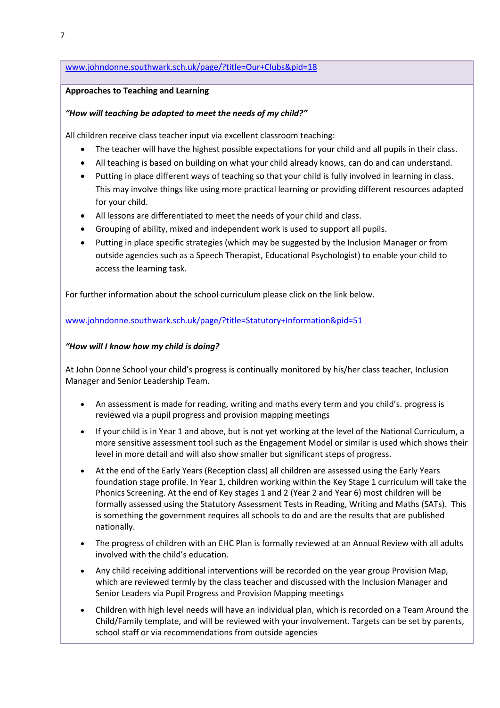#### www.johndonne.southwark.sch.uk/page/?title=Our+Clubs&pid=18

#### Approaches to Teaching and Learning

### "How will teaching be adapted to meet the needs of my child?"

All children receive class teacher input via excellent classroom teaching:

- The teacher will have the highest possible expectations for your child and all pupils in their class.
- All teaching is based on building on what your child already knows, can do and can understand.
- Putting in place different ways of teaching so that your child is fully involved in learning in class. This may involve things like using more practical learning or providing different resources adapted for your child.
- All lessons are differentiated to meet the needs of your child and class.
- Grouping of ability, mixed and independent work is used to support all pupils.
- Putting in place specific strategies (which may be suggested by the Inclusion Manager or from outside agencies such as a Speech Therapist, Educational Psychologist) to enable your child to access the learning task.

For further information about the school curriculum please click on the link below.

www.johndonne.southwark.sch.uk/page/?title=Statutory+Information&pid=51

### "How will I know how my child is doing?

At John Donne School your child's progress is continually monitored by his/her class teacher, Inclusion Manager and Senior Leadership Team.

- An assessment is made for reading, writing and maths every term and you child's. progress is reviewed via a pupil progress and provision mapping meetings
- If your child is in Year 1 and above, but is not yet working at the level of the National Curriculum, a more sensitive assessment tool such as the Engagement Model or similar is used which shows their level in more detail and will also show smaller but significant steps of progress.
- At the end of the Early Years (Reception class) all children are assessed using the Early Years foundation stage profile. In Year 1, children working within the Key Stage 1 curriculum will take the Phonics Screening. At the end of Key stages 1 and 2 (Year 2 and Year 6) most children will be formally assessed using the Statutory Assessment Tests in Reading, Writing and Maths (SATs). This is something the government requires all schools to do and are the results that are published nationally.
- The progress of children with an EHC Plan is formally reviewed at an Annual Review with all adults involved with the child's education.
- Any child receiving additional interventions will be recorded on the year group Provision Map, which are reviewed termly by the class teacher and discussed with the Inclusion Manager and Senior Leaders via Pupil Progress and Provision Mapping meetings
- Children with high level needs will have an individual plan, which is recorded on a Team Around the Child/Family template, and will be reviewed with your involvement. Targets can be set by parents, school staff or via recommendations from outside agencies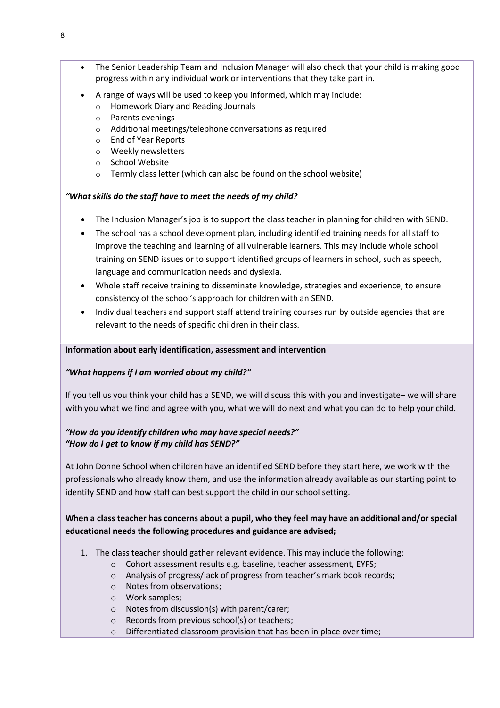- The Senior Leadership Team and Inclusion Manager will also check that your child is making good progress within any individual work or interventions that they take part in.
- A range of ways will be used to keep you informed, which may include:
	- o Homework Diary and Reading Journals
	- o Parents evenings
	- o Additional meetings/telephone conversations as required
	- o End of Year Reports
	- o Weekly newsletters
	- o School Website
	- o Termly class letter (which can also be found on the school website)

# "What skills do the staff have to meet the needs of my child?

- The Inclusion Manager's job is to support the class teacher in planning for children with SEND.
- The school has a school development plan, including identified training needs for all staff to improve the teaching and learning of all vulnerable learners. This may include whole school training on SEND issues or to support identified groups of learners in school, such as speech, language and communication needs and dyslexia.
- Whole staff receive training to disseminate knowledge, strategies and experience, to ensure consistency of the school's approach for children with an SEND.
- Individual teachers and support staff attend training courses run by outside agencies that are relevant to the needs of specific children in their class.

## Information about early identification, assessment and intervention

## "What happens if I am worried about my child?"

If you tell us you think your child has a SEND, we will discuss this with you and investigate– we will share with you what we find and agree with you, what we will do next and what you can do to help your child.

# "How do you identify children who may have special needs?" "How do I get to know if my child has SEND?"

At John Donne School when children have an identified SEND before they start here, we work with the professionals who already know them, and use the information already available as our starting point to identify SEND and how staff can best support the child in our school setting.

# When a class teacher has concerns about a pupil, who they feel may have an additional and/or special educational needs the following procedures and guidance are advised;

- 1. The class teacher should gather relevant evidence. This may include the following:
	- o Cohort assessment results e.g. baseline, teacher assessment, EYFS;
	- o Analysis of progress/lack of progress from teacher's mark book records;
	- o Notes from observations;
	- o Work samples;
	- o Notes from discussion(s) with parent/carer;
	- o Records from previous school(s) or teachers;
	- o Differentiated classroom provision that has been in place over time;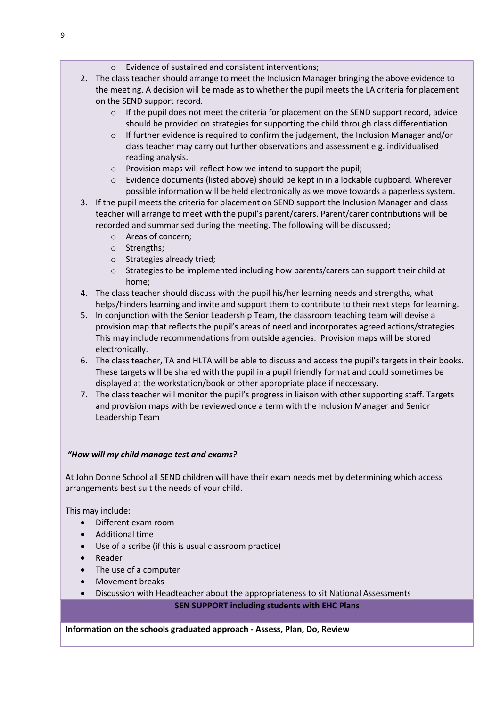- o Evidence of sustained and consistent interventions;
- 2. The class teacher should arrange to meet the Inclusion Manager bringing the above evidence to the meeting. A decision will be made as to whether the pupil meets the LA criteria for placement on the SEND support record.
	- $\circ$  If the pupil does not meet the criteria for placement on the SEND support record, advice should be provided on strategies for supporting the child through class differentiation.
	- $\circ$  If further evidence is required to confirm the judgement, the Inclusion Manager and/or class teacher may carry out further observations and assessment e.g. individualised reading analysis.
	- o Provision maps will reflect how we intend to support the pupil;
	- $\circ$  Evidence documents (listed above) should be kept in in a lockable cupboard. Wherever possible information will be held electronically as we move towards a paperless system.
- 3. If the pupil meets the criteria for placement on SEND support the Inclusion Manager and class teacher will arrange to meet with the pupil's parent/carers. Parent/carer contributions will be recorded and summarised during the meeting. The following will be discussed;
	- o Areas of concern;
	- o Strengths;
	- o Strategies already tried;
	- o Strategies to be implemented including how parents/carers can support their child at home;
- 4. The class teacher should discuss with the pupil his/her learning needs and strengths, what helps/hinders learning and invite and support them to contribute to their next steps for learning.
- 5. In conjunction with the Senior Leadership Team, the classroom teaching team will devise a provision map that reflects the pupil's areas of need and incorporates agreed actions/strategies. This may include recommendations from outside agencies. Provision maps will be stored electronically.
- 6. The class teacher, TA and HLTA will be able to discuss and access the pupil's targets in their books. These targets will be shared with the pupil in a pupil friendly format and could sometimes be displayed at the workstation/book or other appropriate place if neccessary.
- 7. The class teacher will monitor the pupil's progress in liaison with other supporting staff. Targets and provision maps with be reviewed once a term with the Inclusion Manager and Senior Leadership Team

## "How will my child manage test and exams?

At John Donne School all SEND children will have their exam needs met by determining which access arrangements best suit the needs of your child.

This may include:

- Different exam room
- Additional time
- Use of a scribe (if this is usual classroom practice)
- Reader
- The use of a computer
- Movement breaks
- Discussion with Headteacher about the appropriateness to sit National Assessments

## SEN SUPPORT including students with EHC Plans

## Information on the schools graduated approach - Assess, Plan, Do, Review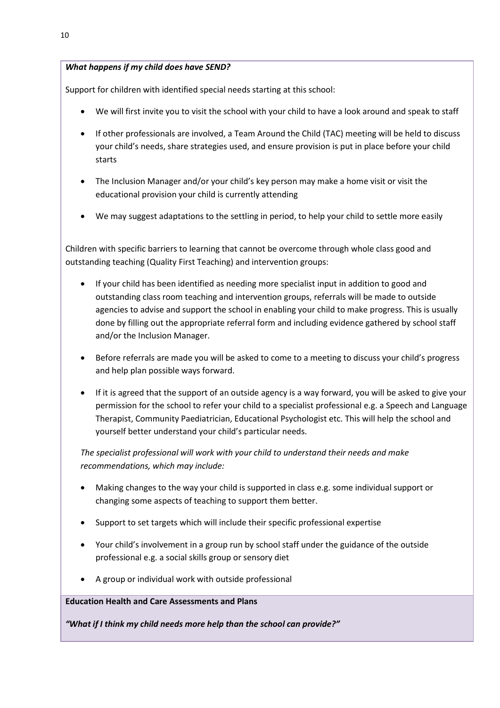## What happens if my child does have SEND?

Support for children with identified special needs starting at this school:

- We will first invite you to visit the school with your child to have a look around and speak to staff
- If other professionals are involved, a Team Around the Child (TAC) meeting will be held to discuss your child's needs, share strategies used, and ensure provision is put in place before your child starts
- The Inclusion Manager and/or your child's key person may make a home visit or visit the educational provision your child is currently attending
- We may suggest adaptations to the settling in period, to help your child to settle more easily

Children with specific barriers to learning that cannot be overcome through whole class good and outstanding teaching (Quality First Teaching) and intervention groups:

- If your child has been identified as needing more specialist input in addition to good and outstanding class room teaching and intervention groups, referrals will be made to outside agencies to advise and support the school in enabling your child to make progress. This is usually done by filling out the appropriate referral form and including evidence gathered by school staff and/or the Inclusion Manager.
- Before referrals are made you will be asked to come to a meeting to discuss your child's progress and help plan possible ways forward.
- If it is agreed that the support of an outside agency is a way forward, you will be asked to give your permission for the school to refer your child to a specialist professional e.g. a Speech and Language Therapist, Community Paediatrician, Educational Psychologist etc. This will help the school and yourself better understand your child's particular needs.

The specialist professional will work with your child to understand their needs and make recommendations, which may include:

- Making changes to the way your child is supported in class e.g. some individual support or changing some aspects of teaching to support them better.
- Support to set targets which will include their specific professional expertise
- Your child's involvement in a group run by school staff under the guidance of the outside professional e.g. a social skills group or sensory diet
- A group or individual work with outside professional

## Education Health and Care Assessments and Plans

"What if I think my child needs more help than the school can provide?"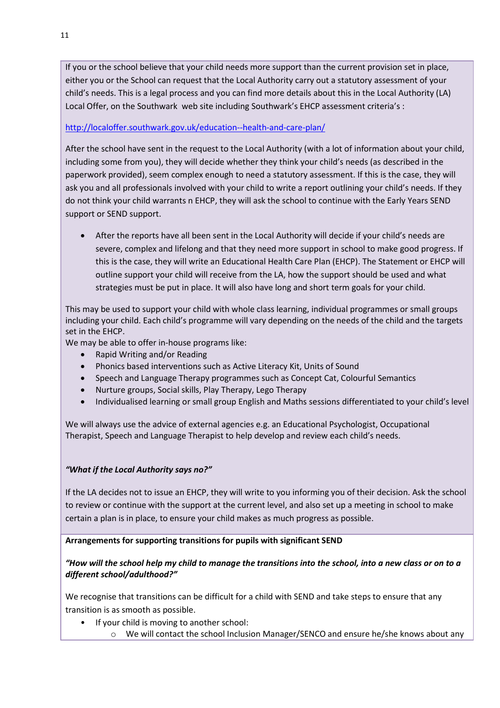If you or the school believe that your child needs more support than the current provision set in place, either you or the School can request that the Local Authority carry out a statutory assessment of your child's needs. This is a legal process and you can find more details about this in the Local Authority (LA) Local Offer, on the Southwark web site including Southwark's EHCP assessment criteria's :

## http://localoffer.southwark.gov.uk/education--health-and-care-plan/

After the school have sent in the request to the Local Authority (with a lot of information about your child, including some from you), they will decide whether they think your child's needs (as described in the paperwork provided), seem complex enough to need a statutory assessment. If this is the case, they will ask you and all professionals involved with your child to write a report outlining your child's needs. If they do not think your child warrants n EHCP, they will ask the school to continue with the Early Years SEND support or SEND support.

 After the reports have all been sent in the Local Authority will decide if your child's needs are severe, complex and lifelong and that they need more support in school to make good progress. If this is the case, they will write an Educational Health Care Plan (EHCP). The Statement or EHCP will outline support your child will receive from the LA, how the support should be used and what strategies must be put in place. It will also have long and short term goals for your child.

This may be used to support your child with whole class learning, individual programmes or small groups including your child. Each child's programme will vary depending on the needs of the child and the targets set in the EHCP.

We may be able to offer in-house programs like:

- Rapid Writing and/or Reading
- Phonics based interventions such as Active Literacy Kit, Units of Sound
- Speech and Language Therapy programmes such as Concept Cat, Colourful Semantics
- Nurture groups, Social skills, Play Therapy, Lego Therapy
- Individualised learning or small group English and Maths sessions differentiated to your child's level

We will always use the advice of external agencies e.g. an Educational Psychologist, Occupational Therapist, Speech and Language Therapist to help develop and review each child's needs.

## "What if the Local Authority says no?"

If the LA decides not to issue an EHCP, they will write to you informing you of their decision. Ask the school to review or continue with the support at the current level, and also set up a meeting in school to make certain a plan is in place, to ensure your child makes as much progress as possible.

## Arrangements for supporting transitions for pupils with significant SEND

## "How will the school help my child to manage the transitions into the school, into a new class or on to a different school/adulthood?"

We recognise that transitions can be difficult for a child with SEND and take steps to ensure that any transition is as smooth as possible.

- If your child is moving to another school:
	- o We will contact the school Inclusion Manager/SENCO and ensure he/she knows about any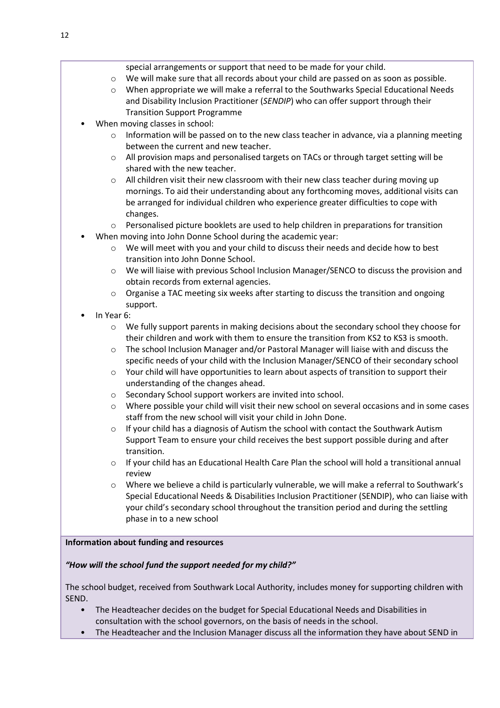- o We will make sure that all records about your child are passed on as soon as possible.
- $\circ$  When appropriate we will make a referral to the Southwarks Special Educational Needs and Disability Inclusion Practitioner (SENDIP) who can offer support through their Transition Support Programme
- When moving classes in school:
	- $\circ$  Information will be passed on to the new class teacher in advance, via a planning meeting between the current and new teacher.
	- o All provision maps and personalised targets on TACs or through target setting will be shared with the new teacher.
	- $\circ$  All children visit their new classroom with their new class teacher during moving up mornings. To aid their understanding about any forthcoming moves, additional visits can be arranged for individual children who experience greater difficulties to cope with changes.
	- o Personalised picture booklets are used to help children in preparations for transition
- When moving into John Donne School during the academic year:
	- $\circ$  We will meet with you and your child to discuss their needs and decide how to best transition into John Donne School.
	- o We will liaise with previous School Inclusion Manager/SENCO to discuss the provision and obtain records from external agencies.
	- $\circ$  Organise a TAC meeting six weeks after starting to discuss the transition and ongoing support.
- In Year 6:
	- o We fully support parents in making decisions about the secondary school they choose for their children and work with them to ensure the transition from KS2 to KS3 is smooth.
	- $\circ$  The school Inclusion Manager and/or Pastoral Manager will liaise with and discuss the specific needs of your child with the Inclusion Manager/SENCO of their secondary school
	- o Your child will have opportunities to learn about aspects of transition to support their understanding of the changes ahead.
	- o Secondary School support workers are invited into school.
	- o Where possible your child will visit their new school on several occasions and in some cases staff from the new school will visit your child in John Done.
	- $\circ$  If your child has a diagnosis of Autism the school with contact the Southwark Autism Support Team to ensure your child receives the best support possible during and after transition.
	- $\circ$  If your child has an Educational Health Care Plan the school will hold a transitional annual review
	- $\circ$  Where we believe a child is particularly vulnerable, we will make a referral to Southwark's Special Educational Needs & Disabilities Inclusion Practitioner (SENDIP), who can liaise with your child's secondary school throughout the transition period and during the settling phase in to a new school

## Information about funding and resources

# "How will the school fund the support needed for my child?"

The school budget, received from Southwark Local Authority, includes money for supporting children with SEND.

- The Headteacher decides on the budget for Special Educational Needs and Disabilities in consultation with the school governors, on the basis of needs in the school.
- The Headteacher and the Inclusion Manager discuss all the information they have about SEND in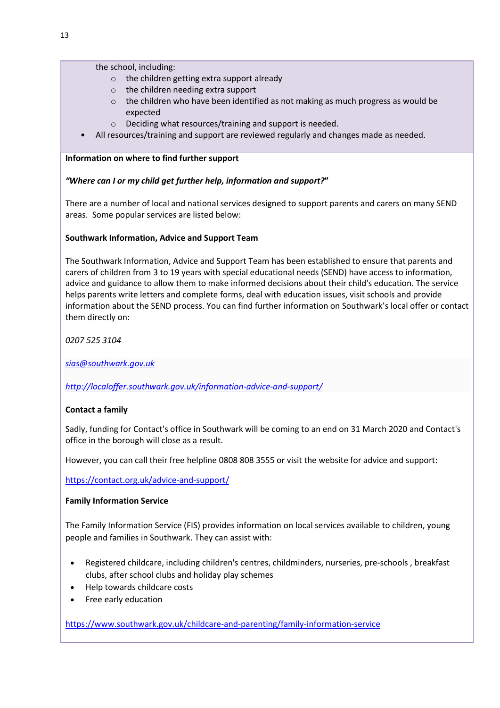the school, including:

- o the children getting extra support already
- o the children needing extra support
- o the children who have been identified as not making as much progress as would be expected
- o Deciding what resources/training and support is needed.
- All resources/training and support are reviewed regularly and changes made as needed.

## Information on where to find further support

# "Where can I or my child get further help, information and support?"

There are a number of local and national services designed to support parents and carers on many SEND areas. Some popular services are listed below:

# Southwark Information, Advice and Support Team

The Southwark Information, Advice and Support Team has been established to ensure that parents and carers of children from 3 to 19 years with special educational needs (SEND) have access to information, advice and guidance to allow them to make informed decisions about their child's education. The service helps parents write letters and complete forms, deal with education issues, visit schools and provide information about the SEND process. You can find further information on Southwark's local offer or contact them directly on:

0207 525 3104

sias@southwark.gov.uk

http://localoffer.southwark.gov.uk/information-advice-and-support/

# Contact a family

Sadly, funding for Contact's office in Southwark will be coming to an end on 31 March 2020 and Contact's office in the borough will close as a result.

However, you can call their free helpline 0808 808 3555 or visit the website for advice and support:

https://contact.org.uk/advice-and-support/

## Family Information Service

The Family Information Service (FIS) provides information on local services available to children, young people and families in Southwark. They can assist with:

- Registered childcare, including children's centres, childminders, nurseries, pre-schools , breakfast clubs, after school clubs and holiday play schemes
- Help towards childcare costs
- Free early education

https://www.southwark.gov.uk/childcare-and-parenting/family-information-service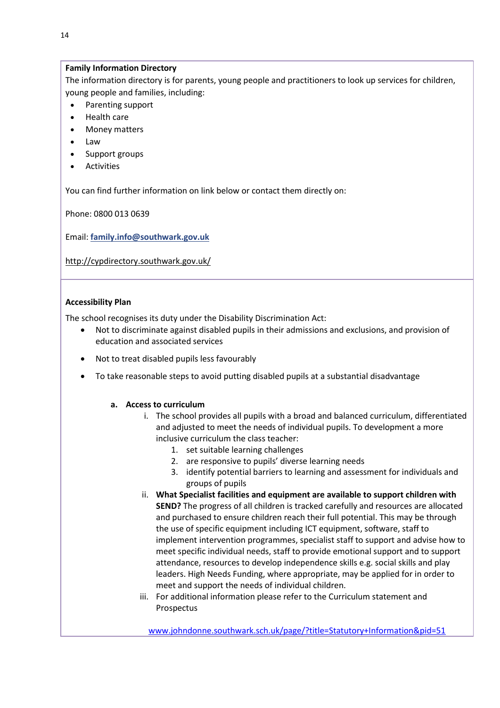#### Family Information Directory

The information directory is for parents, young people and practitioners to look up services for children, young people and families, including:

- Parenting support
- Health care
- Money matters
- Law
- Support groups
- Activities

You can find further information on link below or contact them directly on:

Phone: 0800 013 0639

Email: family.info@southwark.gov.uk

http://cypdirectory.southwark.gov.uk/

#### Accessibility Plan

The school recognises its duty under the Disability Discrimination Act:

- Not to discriminate against disabled pupils in their admissions and exclusions, and provision of education and associated services
- Not to treat disabled pupils less favourably
- To take reasonable steps to avoid putting disabled pupils at a substantial disadvantage

#### a. Access to curriculum

- i. The school provides all pupils with a broad and balanced curriculum, differentiated and adjusted to meet the needs of individual pupils. To development a more inclusive curriculum the class teacher:
	- 1. set suitable learning challenges
	- 2. are responsive to pupils' diverse learning needs
	- 3. identify potential barriers to learning and assessment for individuals and groups of pupils
- ii. What Specialist facilities and equipment are available to support children with SEND? The progress of all children is tracked carefully and resources are allocated and purchased to ensure children reach their full potential. This may be through the use of specific equipment including ICT equipment, software, staff to implement intervention programmes, specialist staff to support and advise how to meet specific individual needs, staff to provide emotional support and to support attendance, resources to develop independence skills e.g. social skills and play leaders. High Needs Funding, where appropriate, may be applied for in order to meet and support the needs of individual children.
- iii. For additional information please refer to the Curriculum statement and Prospectus

www.johndonne.southwark.sch.uk/page/?title=Statutory+Information&pid=51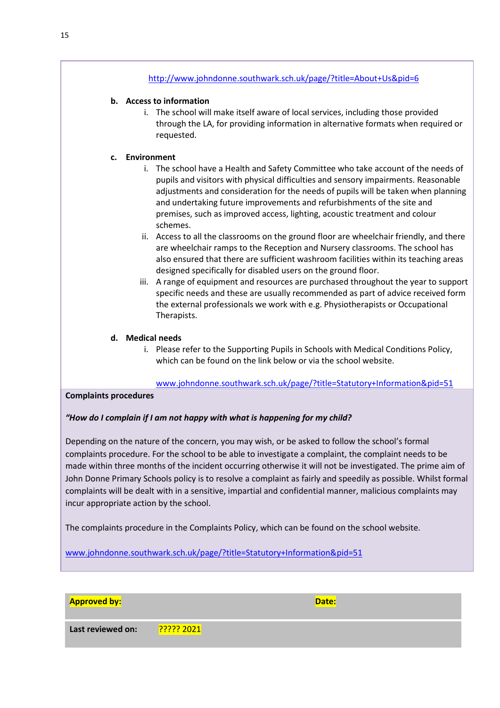#### http://www.johndonne.southwark.sch.uk/page/?title=About+Us&pid=6

#### b. Access to information

i. The school will make itself aware of local services, including those provided through the LA, for providing information in alternative formats when required or requested.

#### c. Environment

- i. The school have a Health and Safety Committee who take account of the needs of pupils and visitors with physical difficulties and sensory impairments. Reasonable adjustments and consideration for the needs of pupils will be taken when planning and undertaking future improvements and refurbishments of the site and premises, such as improved access, lighting, acoustic treatment and colour schemes.
- ii. Access to all the classrooms on the ground floor are wheelchair friendly, and there are wheelchair ramps to the Reception and Nursery classrooms. The school has also ensured that there are sufficient washroom facilities within its teaching areas designed specifically for disabled users on the ground floor.
- iii. A range of equipment and resources are purchased throughout the year to support specific needs and these are usually recommended as part of advice received form the external professionals we work with e.g. Physiotherapists or Occupational Therapists.

#### d. Medical needs

i. Please refer to the Supporting Pupils in Schools with Medical Conditions Policy, which can be found on the link below or via the school website.

www.johndonne.southwark.sch.uk/page/?title=Statutory+Information&pid=51

#### Complaints procedures

#### "How do I complain if I am not happy with what is happening for my child?

Depending on the nature of the concern, you may wish, or be asked to follow the school's formal complaints procedure. For the school to be able to investigate a complaint, the complaint needs to be made within three months of the incident occurring otherwise it will not be investigated. The prime aim of John Donne Primary Schools policy is to resolve a complaint as fairly and speedily as possible. Whilst formal complaints will be dealt with in a sensitive, impartial and confidential manner, malicious complaints may incur appropriate action by the school.

The complaints procedure in the Complaints Policy, which can be found on the school website.

www.johndonne.southwark.sch.uk/page/?title=Statutory+Information&pid=51

#### Approved by: Date: Date: Date: Date: Date: Date: Date: Date: Date: Date: Date: Date: Date: Date: Date: Date: D

Last reviewed on: 2????? 2021